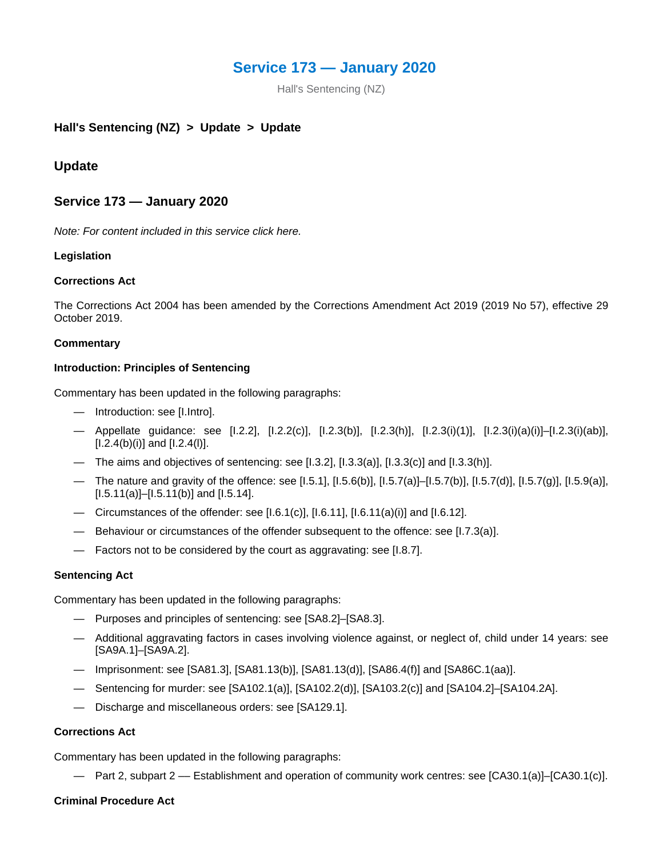# **Service 173 — January 2020**

Hall's Sentencing (NZ)

# **Hall's Sentencing (NZ) > Update > Update**

# **Update**

### **Service 173 — January 2020**

*Note: For content included in this service click here.*

#### **Legislation**

#### **Corrections Act**

The Corrections Act 2004 has been amended by the Corrections Amendment Act 2019 (2019 No 57), effective 29 October 2019.

#### **Commentary**

#### **Introduction: Principles of Sentencing**

Commentary has been updated in the following paragraphs:

- Introduction: see [I.Intro].
- Appellate guidance: see [I.2.2], [I.2.2(c)], [I.2.3(b)], [I.2.3(h)], [I.2.3(i)(1)], [I.2.3(i)(a)(i)]–[I.2.3(i)(ab)],  $[1.2.4(b)(i)]$  and  $[1.2.4(l)].$
- The aims and objectives of sentencing: see  $[1.3.2]$ ,  $[1.3.3(a)]$ ,  $[1.3.3(c)]$  and  $[1.3.3(h)]$ .
- The nature and gravity of the offence: see [I.5.1], [I.5.6(b)], [I.5.7(a)]–[I.5.7(b)], [I.5.7(d)], [I.5.7(g)], [I.5.9(a)],  $[1.5.11(a)]-[1.5.11(b)]$  and  $[1.5.14]$ .
- Circumstances of the offender: see [I.6.1(c)],  $[1.6.11]$ ,  $[1.6.11(a)(i)]$  and  $[1.6.12]$ .
- Behaviour or circumstances of the offender subsequent to the offence: see [I.7.3(a)].
- Factors not to be considered by the court as aggravating: see [I.8.7].

#### **Sentencing Act**

Commentary has been updated in the following paragraphs:

- Purposes and principles of sentencing: see [SA8.2]–[SA8.3].
- Additional aggravating factors in cases involving violence against, or neglect of, child under 14 years: see [SA9A.1]–[SA9A.2].
- Imprisonment: see [SA81.3], [SA81.13(b)], [SA81.13(d)], [SA86.4(f)] and [SA86C.1(aa)].
- Sentencing for murder: see [SA102.1(a)], [SA102.2(d)], [SA103.2(c)] and [SA104.2]–[SA104.2A].
- Discharge and miscellaneous orders: see [SA129.1].

#### **Corrections Act**

Commentary has been updated in the following paragraphs:

— Part 2, subpart 2 –– Establishment and operation of community work centres: see [CA30.1(a)]–[CA30.1(c)].

#### **Criminal Procedure Act**